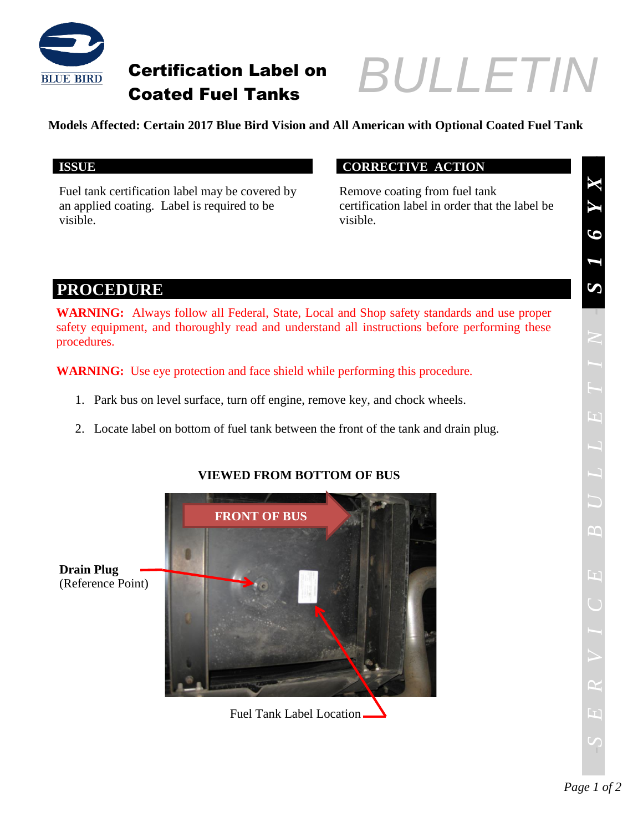

## Certification Label on Coated Fuel Tanks

# *BULLETIN BULLETIN*

#### **Models Affected: Certain 2017 Blue Bird Vision and All American with Optional Coated Fuel Tank**

Fuel tank certification label may be covered by an applied coating. Label is required to be visible.

#### **ISSUE CORRECTIVE ACTION**

Remove coating from fuel tank certification label in order that the label be visible.

### **PROCEDURE**

**WARNING:** Always follow all Federal, State, Local and Shop safety standards and use proper safety equipment, and thoroughly read and understand all instructions before performing these procedures.

**WARNING:** Use eye protection and face shield while performing this procedure.

- 1. Park bus on level surface, turn off engine, remove key, and chock wheels.
- 2. Locate label on bottom of fuel tank between the front of the tank and drain plug.



#### **VIEWED FROM BOTTOM OF BUS**